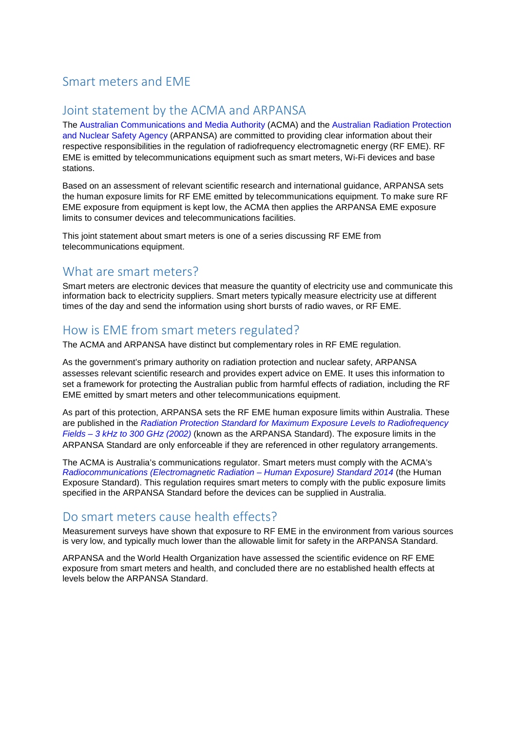### Smart meters and EME

#### Joint statement by the ACMA and ARPANSA

The [Australian Communications and Media Authority](http://www.acma.gov.au/) (ACMA) and the [Australian Radiation Protection](http://www.arpansa.gov.au/)  [and Nuclear Safety Agency](http://www.arpansa.gov.au/) (ARPANSA) are committed to providing clear information about their respective responsibilities in the regulation of radiofrequency electromagnetic energy (RF EME). RF EME is emitted by telecommunications equipment such as smart meters, Wi-Fi devices and base stations.

Based on an assessment of relevant scientific research and international guidance, ARPANSA sets the human exposure limits for RF EME emitted by telecommunications equipment. To make sure RF EME exposure from equipment is kept low, the ACMA then applies the ARPANSA EME exposure limits to consumer devices and telecommunications facilities.

This joint statement about smart meters is one of a series discussing RF EME from telecommunications equipment.

#### What are smart meters?

Smart meters are electronic devices that measure the quantity of electricity use and communicate this information back to electricity suppliers. Smart meters typically measure electricity use at different times of the day and send the information using short bursts of radio waves, or RF EME.

## How is EME from smart meters regulated?

The ACMA and ARPANSA have distinct but complementary roles in RF EME regulation.

As the government's primary authority on radiation protection and nuclear safety, ARPANSA assesses relevant scientific research and provides expert advice on EME. It uses this information to set a framework for protecting the Australian public from harmful effects of radiation, including the RF EME emitted by smart meters and other telecommunications equipment.

As part of this protection, ARPANSA sets the RF EME human exposure limits within Australia. These are published in the *[Radiation Protection Standard for Maximum Exposure Levels to Radiofrequency](http://www.arpansa.gov.au/RadiationProtection/Factsheets/is_rfStandard.cfm)  Fields – [3 kHz to 300 GHz \(2002\)](http://www.arpansa.gov.au/RadiationProtection/Factsheets/is_rfStandard.cfm)* (known as the ARPANSA Standard). The exposure limits in the ARPANSA Standard are only enforceable if they are referenced in other regulatory arrangements.

The ACMA is Australia's communications regulator. Smart meters must comply with the ACMA's *[Radiocommunications \(Electromagnetic Radiation –](http://www.comlaw.gov.au/Series/F2014L00960) Human Exposure) Standard 2014* (the Human Exposure Standard). This regulation requires smart meters to comply with the public exposure limits specified in the ARPANSA Standard before the devices can be supplied in Australia.

## Do smart meters cause health effects?

Measurement surveys have shown that exposure to RF EME in the environment from various sources is very low, and typically much lower than the allowable limit for safety in the ARPANSA Standard.

ARPANSA and the World Health Organization have assessed the scientific evidence on RF EME exposure from smart meters and health, and concluded there are no established health effects at levels below the ARPANSA Standard.